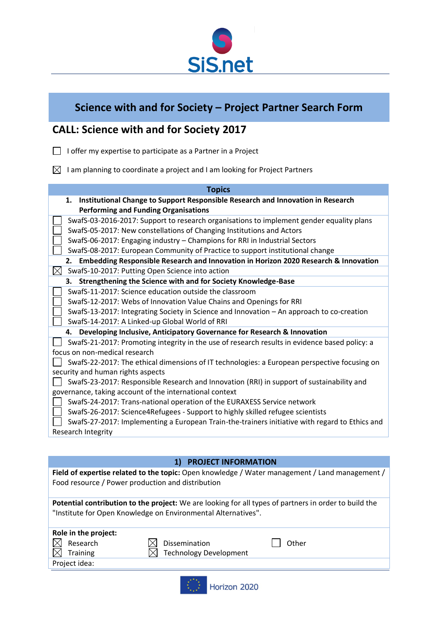

## **Science with and for Society – Project Partner Search Form**

## **CALL: Science with and for Society 2017**

- $\Box$  I offer my expertise to participate as a Partner in a Project
- $\boxtimes$  I am planning to coordinate a project and I am looking for Project Partners

| <b>Topics</b>                                                                                  |
|------------------------------------------------------------------------------------------------|
| Institutional Change to Support Responsible Research and Innovation in Research<br>1.          |
| <b>Performing and Funding Organisations</b>                                                    |
| SwafS-03-2016-2017: Support to research organisations to implement gender equality plans       |
| SwafS-05-2017: New constellations of Changing Institutions and Actors                          |
| SwafS-06-2017: Engaging industry - Champions for RRI in Industrial Sectors                     |
| SwafS-08-2017: European Community of Practice to support institutional change                  |
| Embedding Responsible Research and Innovation in Horizon 2020 Research & Innovation<br>2.      |
| $\bowtie$<br>SwafS-10-2017: Putting Open Science into action                                   |
| Strengthening the Science with and for Society Knowledge-Base<br>3.                            |
| SwafS-11-2017: Science education outside the classroom                                         |
| SwafS-12-2017: Webs of Innovation Value Chains and Openings for RRI                            |
| SwafS-13-2017: Integrating Society in Science and Innovation - An approach to co-creation      |
| SwafS-14-2017: A Linked-up Global World of RRI                                                 |
| Developing Inclusive, Anticipatory Governance for Research & Innovation<br>4.                  |
| SwafS-21-2017: Promoting integrity in the use of research results in evidence based policy: a  |
| focus on non-medical research                                                                  |
| SwafS-22-2017: The ethical dimensions of IT technologies: a European perspective focusing on   |
| security and human rights aspects                                                              |
| SwafS-23-2017: Responsible Research and Innovation (RRI) in support of sustainability and      |
| governance, taking account of the international context                                        |
| SwafS-24-2017: Trans-national operation of the EURAXESS Service network                        |
| SwafS-26-2017: Science4Refugees - Support to highly skilled refugee scientists                 |
| SwafS-27-2017: Implementing a European Train-the-trainers initiative with regard to Ethics and |
| Research Integrity                                                                             |

|                                                                                                                                                                        | <b>PROJECT INFORMATION</b>    |       |  |
|------------------------------------------------------------------------------------------------------------------------------------------------------------------------|-------------------------------|-------|--|
| Field of expertise related to the topic: Open knowledge / Water management / Land management /<br>Food resource / Power production and distribution                    |                               |       |  |
| Potential contribution to the project: We are looking for all types of partners in order to build the<br>"Institute for Open Knowledge on Environmental Alternatives". |                               |       |  |
| Role in the project:                                                                                                                                                   |                               |       |  |
| Research                                                                                                                                                               | Dissemination                 | Other |  |
| <b>Training</b>                                                                                                                                                        | <b>Technology Development</b> |       |  |
| Project idea:                                                                                                                                                          |                               |       |  |
|                                                                                                                                                                        |                               |       |  |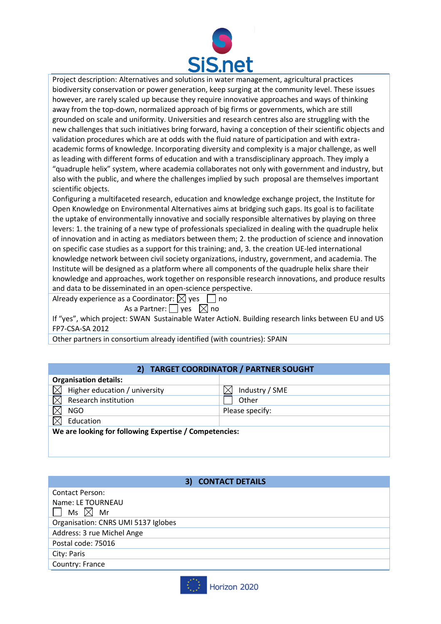

Project description: Alternatives and solutions in water management, agricultural practices biodiversity conservation or power generation, keep surging at the community level. These issues however, are rarely scaled up because they require innovative approaches and ways of thinking away from the top-down, normalized approach of big firms or governments, which are still grounded on scale and uniformity. Universities and research centres also are struggling with the new challenges that such initiatives bring forward, having a conception of their scientific objects and validation procedures which are at odds with the fluid nature of participation and with extraacademic forms of knowledge. Incorporating diversity and complexity is a major challenge, as well as leading with different forms of education and with a transdisciplinary approach. They imply a "quadruple helix" system, where academia collaborates not only with government and industry, but also with the public, and where the challenges implied by such proposal are themselves important scientific objects.

Configuring a multifaceted research, education and knowledge exchange project, the Institute for Open Knowledge on Environmental Alternatives aims at bridging such gaps. Its goal is to facilitate the uptake of environmentally innovative and socially responsible alternatives by playing on three levers: 1. the training of a new type of professionals specialized in dealing with the quadruple helix of innovation and in acting as mediators between them; 2. the production of science and innovation on specific case studies as a support for this training; and, 3. the creation UE-led international knowledge network between civil society organizations, industry, government, and academia. The Institute will be designed as a platform where all components of the quadruple helix share their knowledge and approaches, work together on responsible research innovations, and produce results and data to be disseminated in an open-science perspective.

Already experience as a Coordinator:  $\boxtimes$  yes  $\Box$  no

As a Partner:  $\Box$  yes  $\Box$  no

If "yes", which project: SWAN Sustainable Water ActioN. Building research links between EU and US FP7-CSA-SA 2012

Other partners in consortium already identified (with countries): SPAIN

## **2) TARGET COORDINATOR / PARTNER SOUGHT**

| <b>Organisation details:</b>                           |                 |  |  |
|--------------------------------------------------------|-----------------|--|--|
| Higher education / university                          | Industry / SME  |  |  |
| Research institution                                   | Other           |  |  |
| <b>NGO</b>                                             | Please specify: |  |  |
| Education                                              |                 |  |  |
| We are looking for following Expertise / Competencies: |                 |  |  |
|                                                        |                 |  |  |
|                                                        |                 |  |  |

## **3) CONTACT DETAILS**

| <b>Contact Person:</b>              |
|-------------------------------------|
| Name: LE TOURNEAU                   |
| $^{\prime}$ Ms $\boxtimes$ Mr       |
| Organisation: CNRS UMI 5137 Iglobes |
| Address: 3 rue Michel Ange          |
| Postal code: 75016                  |
| City: Paris                         |
| Country: France                     |